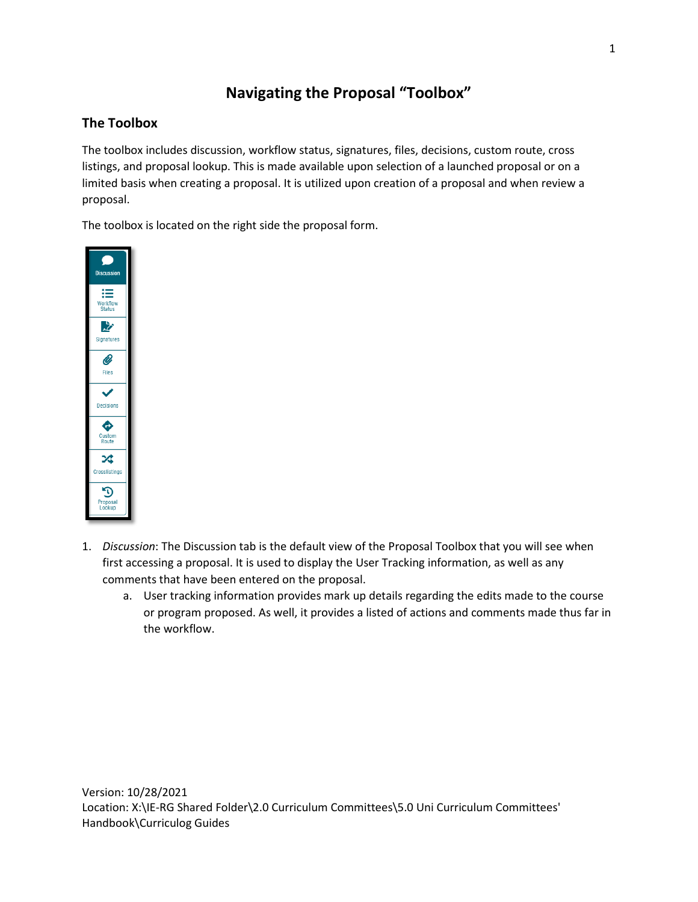## **Navigating the Proposal "Toolbox"**

## **The Toolbox**

The toolbox includes discussion, workflow status, signatures, files, decisions, custom route, cross listings, and proposal lookup. This is made available upon selection of a launched proposal or on a limited basis when creating a proposal. It is utilized upon creation of a proposal and when review a proposal.

The toolbox is located on the right side the proposal form.



- 1. *Discussion*: The Discussion tab is the default view of the Proposal Toolbox that you will see when first accessing a proposal. It is used to display the User Tracking information, as well as any comments that have been entered on the proposal.
	- a. User tracking information provides mark up details regarding the edits made to the course or program proposed. As well, it provides a listed of actions and comments made thus far in the workflow.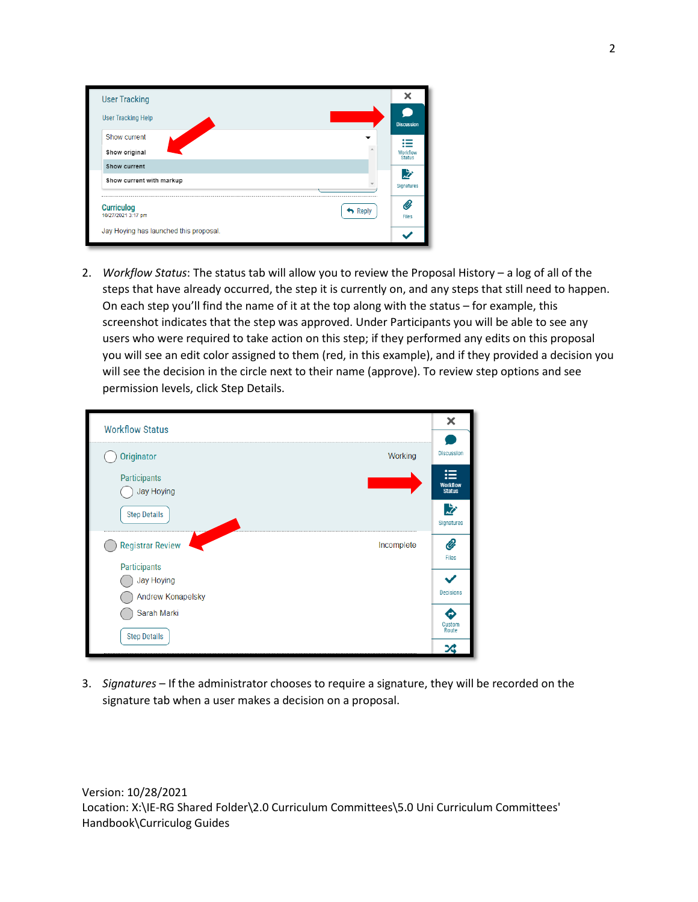| <b>User Tracking</b>                    |                         |                           |
|-----------------------------------------|-------------------------|---------------------------|
| <b>User Tracking Help</b>               |                         | <b>Discussion</b>         |
| Show current                            |                         |                           |
| Show original                           |                         | Workflow<br><b>Status</b> |
| Show current                            |                         | .≿                        |
| Show current with markup                |                         | Signatures                |
| <b>Curriculog</b><br>10/27/2021 3:17 pm | $\leftrightarrow$ Reply | Files                     |
| Jay Hoying has launched this proposal.  |                         |                           |

2. *Workflow Status*: The status tab will allow you to review the Proposal History – a log of all of the steps that have already occurred, the step it is currently on, and any steps that still need to happen. On each step you'll find the name of it at the top along with the status – for example, this screenshot indicates that the step was approved. Under Participants you will be able to see any users who were required to take action on this step; if they performed any edits on this proposal you will see an edit color assigned to them (red, in this example), and if they provided a decision you will see the decision in the circle next to their name (approve). To review step options and see permission levels, click Step Details.



3. *Signatures* – If the administrator chooses to require a signature, they will be recorded on the signature tab when a user makes a decision on a proposal.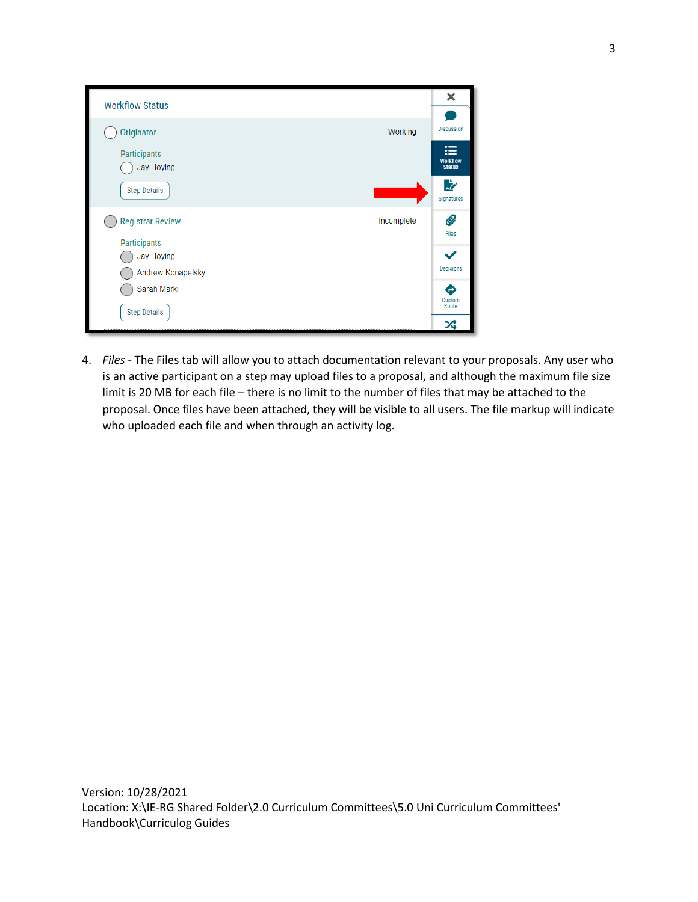| <b>Workflow Status</b>                | ×                                     |
|---------------------------------------|---------------------------------------|
| Originator<br>Working                 | <b>Discussion</b>                     |
| Participants<br><b>Jay Hoying</b>     | 這<br><b>Workflow</b><br><b>Status</b> |
| <b>Step Details</b>                   | 之<br>Signatures                       |
| <b>Registrar Review</b><br>Incomplete | Ø                                     |
| Participants                          | <b>Files</b>                          |
| <b>Jay Hoying</b>                     |                                       |
| Andrew Konapelsky                     | <b>Decisions</b>                      |
| Sarah Marki                           | e<br>Custom<br>Route                  |
| <b>Step Details</b>                   | ぷ                                     |

4. *Files* - The Files tab will allow you to attach documentation relevant to your proposals. Any user who is an active participant on a step may upload files to a proposal, and although the maximum file size limit is 20 MB for each file – there is no limit to the number of files that may be attached to the proposal. Once files have been attached, they will be visible to all users. The file markup will indicate who uploaded each file and when through an activity log.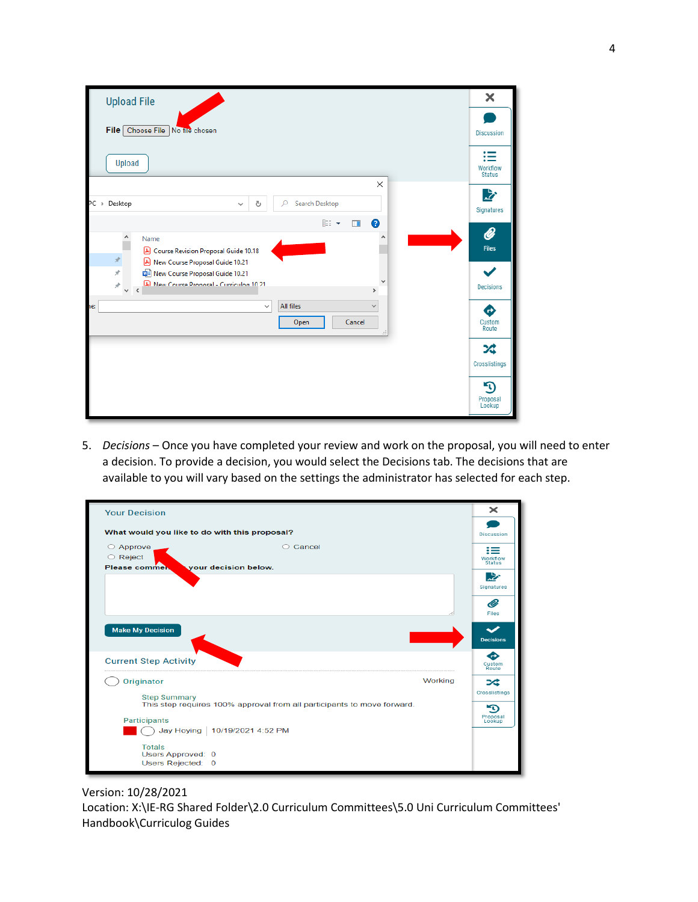| <b>Upload File</b>                                                                                                                                                                              | ×                              |
|-------------------------------------------------------------------------------------------------------------------------------------------------------------------------------------------------|--------------------------------|
| File Choose File No the chosen                                                                                                                                                                  | <b>Discussion</b>              |
| Upload                                                                                                                                                                                          | ≔<br>Workflow<br><b>Status</b> |
| $\times$<br>PC > Desktop<br>Search Desktop<br>$\Omega$<br>Ō<br>$\checkmark$                                                                                                                     | 乄<br>Signatures                |
| EE ·<br>$\bullet$<br>$\Box$<br>۸<br>Name<br>& Course Revision Proposal Guide 10.18<br>$\mathcal{R}$                                                                                             | Q)<br><b>Files</b>             |
| A New Course Proposal Guide 10.21<br>$\mathcal{R}$<br>New Course Proposal Guide 10.21<br>A New Course Pronosal - Curriculon 10.21<br>$\mathcal{R}$<br>$\downarrow$ $\vert$ $<$<br>$\rightarrow$ | Decisions                      |
| All files<br>ie:<br>$\checkmark$<br>Cancel<br>Open<br>                                                                                                                                          | ⊕<br>Custom<br>Route           |
|                                                                                                                                                                                                 | ぷ<br>Crosslistings             |
|                                                                                                                                                                                                 | دِ™<br>Proposal<br>Lookup      |

5. *Decisions* – Once you have completed your review and work on the proposal, you will need to enter a decision. To provide a decision, you would select the Decisions tab. The decisions that are available to you will vary based on the settings the administrator has selected for each step.

| <b>Your Decision</b>                                                                           |         | $\boldsymbol{\times}$          |
|------------------------------------------------------------------------------------------------|---------|--------------------------------|
| What would you like to do with this proposal?                                                  |         | <b>Discussion</b>              |
| $\circ$ Cancel<br>$\circ$ Approve<br>$\circ$ Reject<br>vour decision below.<br>Please commen   |         | ≔<br>Workflow<br><b>Status</b> |
|                                                                                                |         | 凄<br>Signatures                |
|                                                                                                |         | Ø<br>Files                     |
| <b>Make My Decision</b>                                                                        |         | <b>Decisions</b>               |
| <b>Current Step Activity</b>                                                                   |         | €<br>Custom<br>Route           |
| Originator                                                                                     | Working | メ                              |
| <b>Step Summary</b><br>This step requires 100% approval from all participants to move forward. |         | Crosslistings                  |
| <b>Participants</b><br>Jay Hoying   10/19/2021 4:52 PM                                         |         | ה<br>Proposal<br>Lookup        |
| <b>Totals</b><br>Users Approved: 0<br>Users Rejected: 0                                        |         |                                |

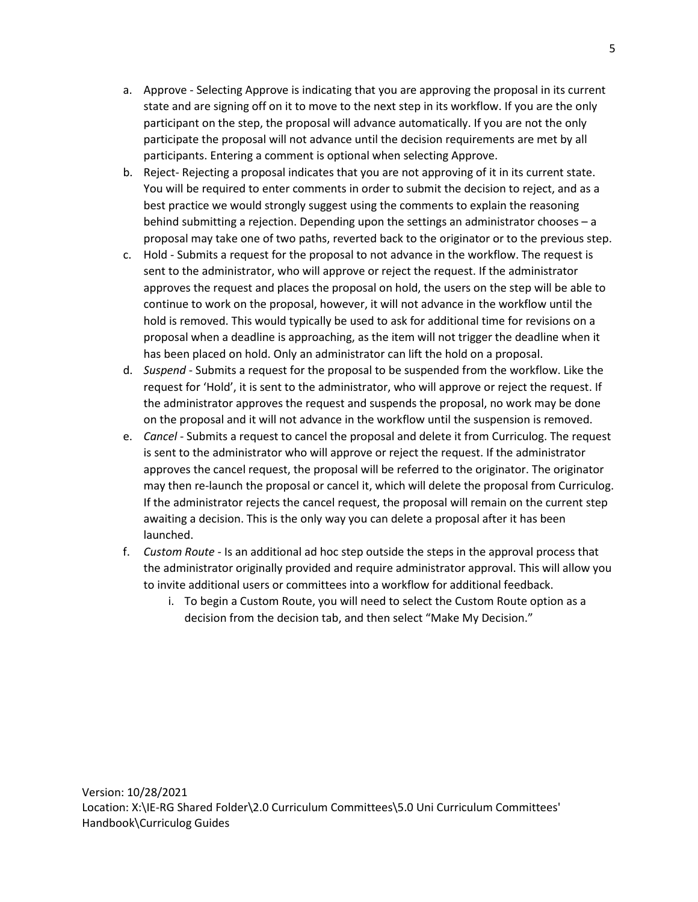- a. Approve Selecting Approve is indicating that you are approving the proposal in its current state and are signing off on it to move to the next step in its workflow. If you are the only participant on the step, the proposal will advance automatically. If you are not the only participate the proposal will not advance until the decision requirements are met by all participants. Entering a comment is optional when selecting Approve.
- b. Reject- Rejecting a proposal indicates that you are not approving of it in its current state. You will be required to enter comments in order to submit the decision to reject, and as a best practice we would strongly suggest using the comments to explain the reasoning behind submitting a rejection. Depending upon the settings an administrator chooses – a proposal may take one of two paths, reverted back to the originator or to the previous step.
- c. Hold Submits a request for the proposal to not advance in the workflow. The request is sent to the administrator, who will approve or reject the request. If the administrator approves the request and places the proposal on hold, the users on the step will be able to continue to work on the proposal, however, it will not advance in the workflow until the hold is removed. This would typically be used to ask for additional time for revisions on a proposal when a deadline is approaching, as the item will not trigger the deadline when it has been placed on hold. Only an administrator can lift the hold on a proposal.
- d. *Suspend* Submits a request for the proposal to be suspended from the workflow. Like the request for 'Hold', it is sent to the administrator, who will approve or reject the request. If the administrator approves the request and suspends the proposal, no work may be done on the proposal and it will not advance in the workflow until the suspension is removed.
- e. *Cancel* Submits a request to cancel the proposal and delete it from Curriculog. The request is sent to the administrator who will approve or reject the request. If the administrator approves the cancel request, the proposal will be referred to the originator. The originator may then re-launch the proposal or cancel it, which will delete the proposal from Curriculog. If the administrator rejects the cancel request, the proposal will remain on the current step awaiting a decision. This is the only way you can delete a proposal after it has been launched.
- f. *Custom Route* Is an additional ad hoc step outside the steps in the approval process that the administrator originally provided and require administrator approval. This will allow you to invite additional users or committees into a workflow for additional feedback.
	- i. To begin a Custom Route, you will need to select the Custom Route option as a decision from the decision tab, and then select "Make My Decision."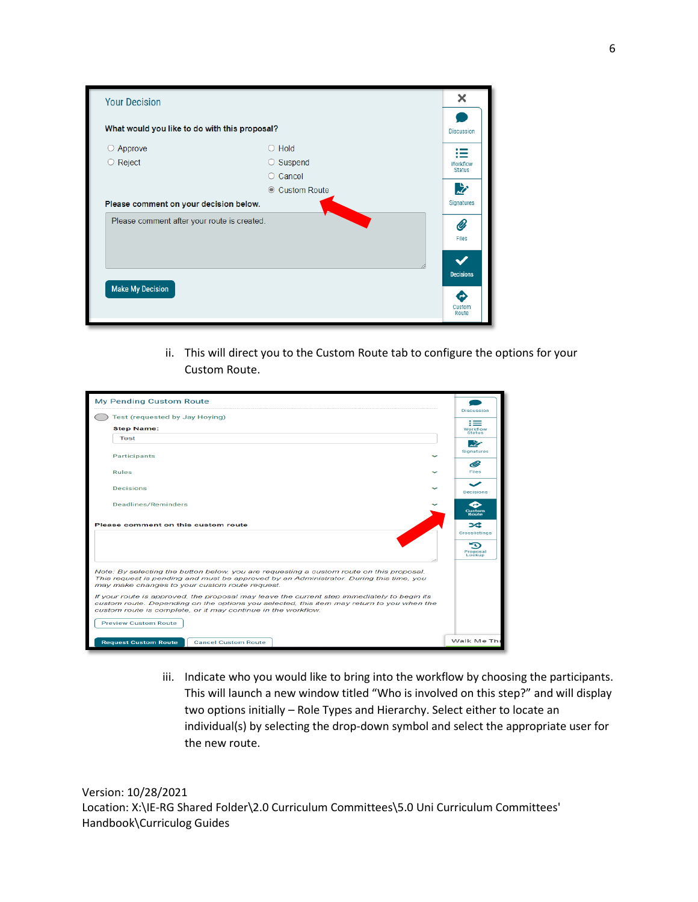| <b>Your Decision</b>                          |                 | ×                 |
|-----------------------------------------------|-----------------|-------------------|
| What would you like to do with this proposal? |                 | <b>Discussion</b> |
| $\circ$ Approve                               | $\bigcirc$ Hold |                   |
| ○ Reject                                      | $\circ$ Suspend | Workflow          |
|                                               | ○ Cancel        | <b>Status</b>     |
|                                               | © Custom Route  | 庅                 |
| Please comment on your decision below.        |                 | Signatures        |
| Please comment after your route is created.   |                 | Ø                 |
|                                               |                 | Files             |
|                                               |                 |                   |
|                                               |                 |                   |
|                                               |                 | <b>Decisions</b>  |
| <b>Make My Decision</b>                       |                 |                   |
|                                               |                 | Custom            |
|                                               |                 | Route             |

ii. This will direct you to the Custom Route tab to configure the options for your Custom Route.

| <b>My Pending Custom Route</b>                                                                                                                                                                                                                            |                                |
|-----------------------------------------------------------------------------------------------------------------------------------------------------------------------------------------------------------------------------------------------------------|--------------------------------|
| Test (requested by Jay Hoying)                                                                                                                                                                                                                            | <b>Discussion</b>              |
| <b>Step Name:</b>                                                                                                                                                                                                                                         | ≔<br>Workflow<br><b>Status</b> |
| <b>Test</b>                                                                                                                                                                                                                                               | 吟                              |
| <b>Participants</b>                                                                                                                                                                                                                                       | Signatures                     |
|                                                                                                                                                                                                                                                           | l D                            |
| <b>Rules</b>                                                                                                                                                                                                                                              | Files                          |
| Decisions                                                                                                                                                                                                                                                 | <b>Decisions</b>               |
| Deadlines/Reminders                                                                                                                                                                                                                                       | Custom<br>Route                |
| <b>Please comment on this custom route</b>                                                                                                                                                                                                                | ∞<br>Crosslistings             |
|                                                                                                                                                                                                                                                           | Proposal<br>Lookup             |
| Note: By selecting the button below, you are requesting a custom route on this proposal.<br>This request is pending and must be approved by an Administrator. During this time, you<br>may make changes to your custom route request.                     |                                |
| If your route is approved, the proposal may leave the current step immediately to begin its<br>custom route. Depending on the options you selected, this item may return to you when the<br>custom route is complete, or it may continue in the workflow. |                                |
| <b>Preview Custom Route</b>                                                                                                                                                                                                                               |                                |
| <b>Request Custom Route</b><br><b>Cancel Custom Route</b>                                                                                                                                                                                                 | Walk Me Thr                    |

iii. Indicate who you would like to bring into the workflow by choosing the participants. This will launch a new window titled "Who is involved on this step?" and will display two options initially – Role Types and Hierarchy. Select either to locate an individual(s) by selecting the drop-down symbol and select the appropriate user for the new route.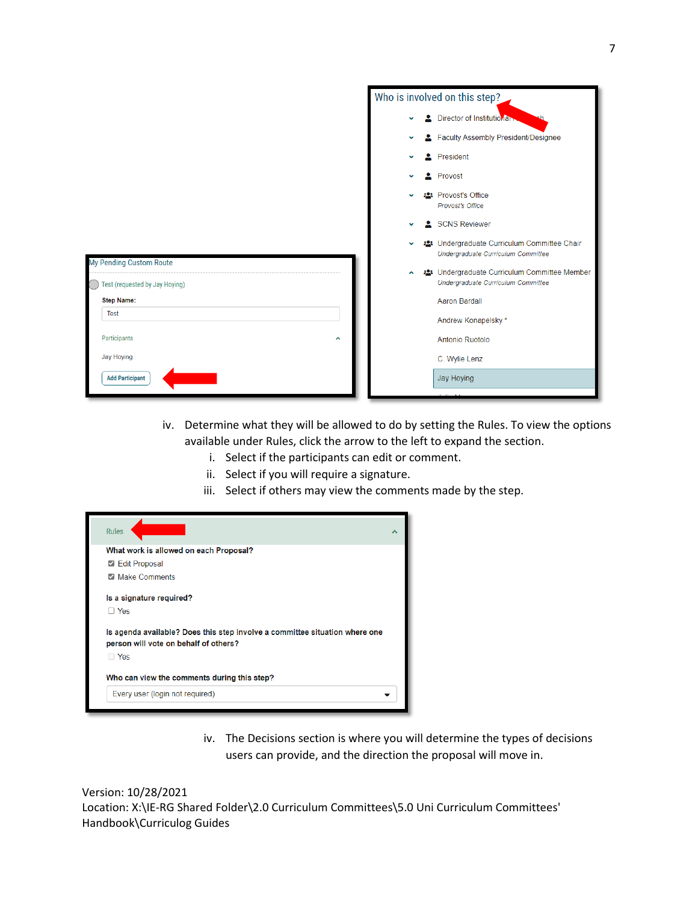|                                                           |   | Who is involved on this step?                                                     |
|-----------------------------------------------------------|---|-----------------------------------------------------------------------------------|
|                                                           |   | <b>2</b> Director of Institutional                                                |
|                                                           |   | Faculty Assembly President/Designee                                               |
|                                                           |   | President                                                                         |
|                                                           |   | 2 Provost                                                                         |
|                                                           |   | : Provost's Office<br>Provost's Office                                            |
|                                                           |   | SCNS Reviewer                                                                     |
|                                                           |   | : Undergraduate Curriculum Committee Chair<br>Undergraduate Curriculum Committee  |
| My Pending Custom Route<br>Test (requested by Jay Hoying) | ^ | : Undergraduate Curriculum Committee Member<br>Undergraduate Curriculum Committee |
| <b>Step Name:</b>                                         |   | <b>Aaron Bardall</b>                                                              |
| <b>Test</b>                                               |   | Andrew Konapelsky*                                                                |
| Participants<br>٨                                         |   | Antonio Ruotolo                                                                   |
| <b>Jay Hoying</b>                                         |   | C. Wylie Lenz                                                                     |
| <b>Add Participant</b>                                    |   | <b>Jay Hoying</b>                                                                 |
|                                                           |   |                                                                                   |

- iv. Determine what they will be allowed to do by setting the Rules. To view the options available under Rules, click the arrow to the left to expand the section.
	- i. Select if the participants can edit or comment.
	- ii. Select if you will require a signature.
	- iii. Select if others may view the comments made by the step.

| <b>Rules</b>                                                                                                         |  |
|----------------------------------------------------------------------------------------------------------------------|--|
| What work is allowed on each Proposal?                                                                               |  |
| Edit Proposal                                                                                                        |  |
| <b>Make Comments</b><br>M                                                                                            |  |
| Is a signature required?                                                                                             |  |
| $\Box$ Yes                                                                                                           |  |
| Is agenda available? Does this step involve a committee situation where one<br>person will vote on behalf of others? |  |
| $\Box$ Yes                                                                                                           |  |
| Who can view the comments during this step?                                                                          |  |
| Every user (login not required)                                                                                      |  |
|                                                                                                                      |  |

iv. The Decisions section is where you will determine the types of decisions users can provide, and the direction the proposal will move in.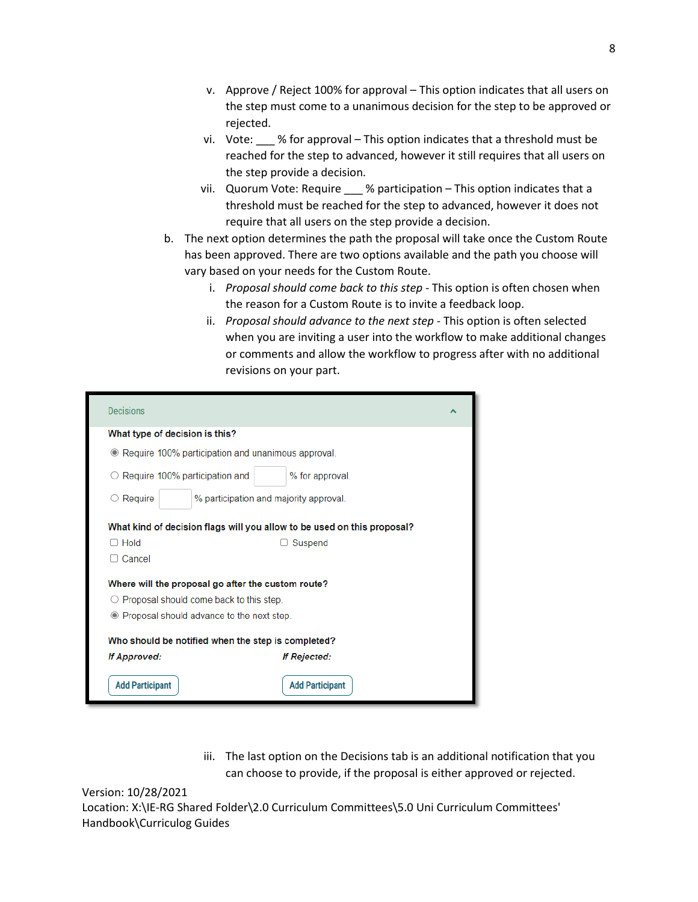- v. Approve / Reject 100% for approval This option indicates that all users on the step must come to a unanimous decision for the step to be approved or rejected.
- vi. Vote: \_\_\_ % for approval This option indicates that a threshold must be reached for the step to advanced, however it still requires that all users on the step provide a decision.
- vii. Quorum Vote: Require % participation This option indicates that a threshold must be reached for the step to advanced, however it does not require that all users on the step provide a decision.
- b. The next option determines the path the proposal will take once the Custom Route has been approved. There are two options available and the path you choose will vary based on your needs for the Custom Route.
	- i. *Proposal should come back to this step* This option is often chosen when the reason for a Custom Route is to invite a feedback loop.
	- ii. *Proposal should advance to the next step* This option is often selected when you are inviting a user into the workflow to make additional changes or comments and allow the workflow to progress after with no additional revisions on your part.

| <b>Decisions</b>                                                        |  |  |  |
|-------------------------------------------------------------------------|--|--|--|
| What type of decision is this?                                          |  |  |  |
| • Require 100% participation and unanimous approval.                    |  |  |  |
| $\circ$ Require 100% participation and<br>% for approval.               |  |  |  |
| % participation and majority approval.<br>Require<br>O                  |  |  |  |
| What kind of decision flags will you allow to be used on this proposal? |  |  |  |
| $\Box$ Hold<br>Suspend                                                  |  |  |  |
| Cancel                                                                  |  |  |  |
| Where will the proposal go after the custom route?                      |  |  |  |
| $\circ$ Proposal should come back to this step.                         |  |  |  |
| • Proposal should advance to the next step.                             |  |  |  |
| Who should be notified when the step is completed?                      |  |  |  |
| <b>If Approved:</b><br><b>If Rejected:</b>                              |  |  |  |
| <b>Add Participant</b><br><b>Add Participant</b>                        |  |  |  |

iii. The last option on the Decisions tab is an additional notification that you can choose to provide, if the proposal is either approved or rejected.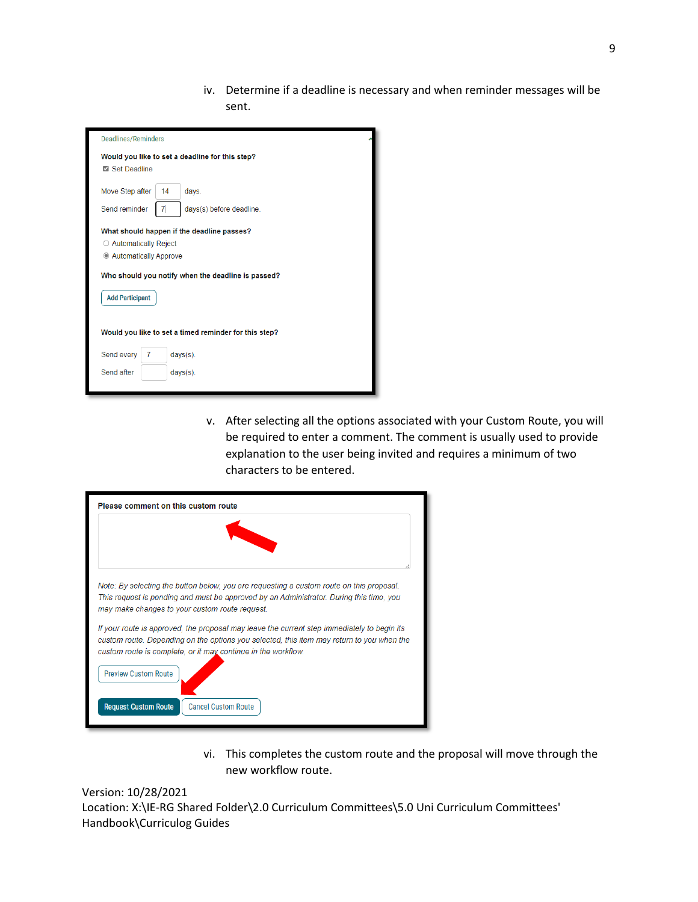iv. Determine if a deadline is necessary and when reminder messages will be sent.

| Deadlines/Reminders                                             |
|-----------------------------------------------------------------|
| Would you like to set a deadline for this step?<br>Set Deadline |
| Move Step after<br>14<br>days.                                  |
| Send reminder<br>days(s) before deadline.<br>7                  |
| What should happen if the deadline passes?                      |
| ○ Automatically Reject                                          |
| Automatically Approve                                           |
| Who should you notify when the deadline is passed?              |
| <b>Add Participant</b>                                          |
|                                                                 |
| Would you like to set a timed reminder for this step?           |
| Send every<br>7<br>$days(s)$ .                                  |
| Send after<br>$days(s)$ .                                       |
|                                                                 |

v. After selecting all the options associated with your Custom Route, you will be required to enter a comment. The comment is usually used to provide explanation to the user being invited and requires a minimum of two characters to be entered.

| Please comment on this custom route                                                                                                                                                                                                                       |  |  |  |  |  |  |
|-----------------------------------------------------------------------------------------------------------------------------------------------------------------------------------------------------------------------------------------------------------|--|--|--|--|--|--|
|                                                                                                                                                                                                                                                           |  |  |  |  |  |  |
|                                                                                                                                                                                                                                                           |  |  |  |  |  |  |
| Note: By selecting the button below, you are requesting a custom route on this proposal.<br>This request is pending and must be approved by an Administrator. During this time, you<br>may make changes to your custom route request.                     |  |  |  |  |  |  |
| If your route is approved, the proposal may leave the current step immediately to begin its<br>custom route. Depending on the options you selected, this item may return to you when the<br>custom route is complete, or it may continue in the workflow. |  |  |  |  |  |  |
| <b>Preview Custom Route</b>                                                                                                                                                                                                                               |  |  |  |  |  |  |
| <b>Request Custom Route</b><br><b>Cancel Custom Route</b>                                                                                                                                                                                                 |  |  |  |  |  |  |

vi. This completes the custom route and the proposal will move through the new workflow route.